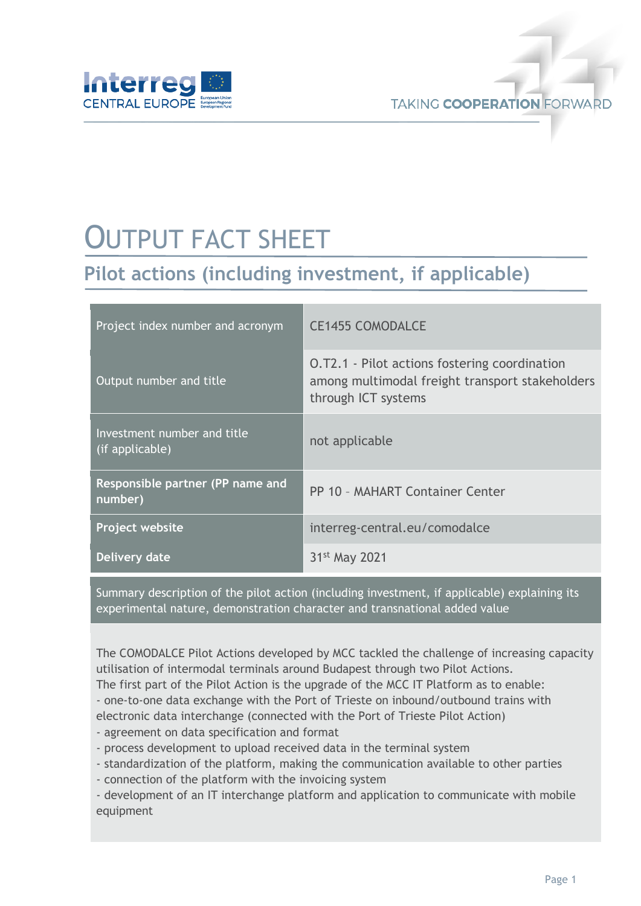

## OUTPUT FACT SHEET

## **Pilot actions (including investment, if applicable)**

| Project index number and acronym               | <b>CE1455 COMODALCE</b>                                                                                                        |
|------------------------------------------------|--------------------------------------------------------------------------------------------------------------------------------|
| Output number and title                        | <b>O.T2.1 - Pilot actions fostering coordination</b><br>among multimodal freight transport stakeholders<br>through ICT systems |
| Investment number and title<br>(if applicable) | not applicable                                                                                                                 |
| Responsible partner (PP name and<br>number)    | PP 10 - MAHART Container Center                                                                                                |
| Project website                                | interreg-central.eu/comodalce                                                                                                  |
| Delivery date                                  | 31 <sup>st</sup> May 2021                                                                                                      |

Summary description of the pilot action (including investment, if applicable) explaining its experimental nature, demonstration character and transnational added value

The COMODALCE Pilot Actions developed by MCC tackled the challenge of increasing capacity utilisation of intermodal terminals around Budapest through two Pilot Actions*.*

The first part of the Pilot Action is the upgrade of the MCC IT Platform as to enable:

- one-to-one data exchange with the Port of Trieste on inbound/outbound trains with

electronic data interchange (connected with the Port of Trieste Pilot Action)

- agreement on data specification and format

- process development to upload received data in the terminal system
- standardization of the platform, making the communication available to other parties
- connection of the platform with the invoicing system

- development of an IT interchange platform and application to communicate with mobile equipment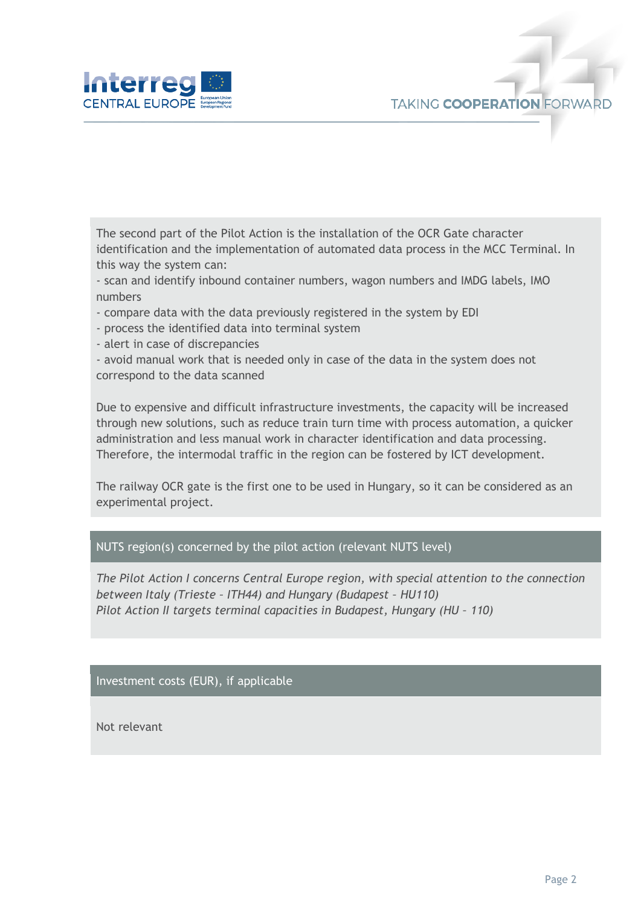

The second part of the Pilot Action is the installation of the OCR Gate character identification and the implementation of automated data process in the MCC Terminal. In this way the system can:

- scan and identify inbound container numbers, wagon numbers and IMDG labels, IMO numbers

- compare data with the data previously registered in the system by EDI
- process the identified data into terminal system
- alert in case of discrepancies

- avoid manual work that is needed only in case of the data in the system does not correspond to the data scanned

Due to expensive and difficult infrastructure investments, the capacity will be increased through new solutions, such as reduce train turn time with process automation, a quicker administration and less manual work in character identification and data processing. Therefore, the intermodal traffic in the region can be fostered by ICT development.

The railway OCR gate is the first one to be used in Hungary, so it can be considered as an experimental project.

## NUTS region(s) concerned by the pilot action (relevant NUTS level)

*The Pilot Action I concerns Central Europe region, with special attention to the connection between Italy (Trieste – ITH44) and Hungary (Budapest – HU110) Pilot Action II targets terminal capacities in Budapest, Hungary (HU – 110)*

Investment costs (EUR), if applicable

Not relevant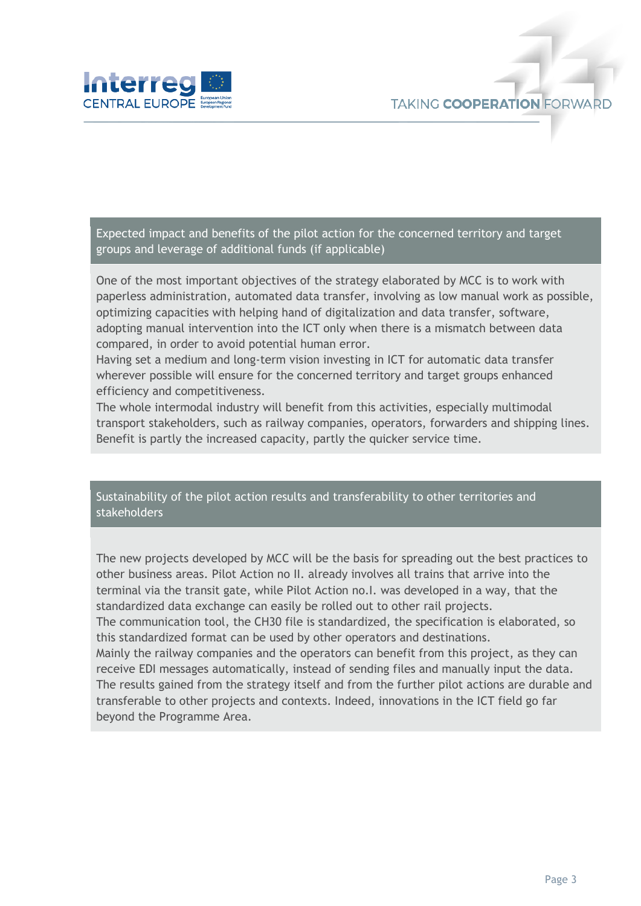

Expected impact and benefits of the pilot action for the concerned territory and target groups and leverage of additional funds (if applicable)

One of the most important objectives of the strategy elaborated by MCC is to work with paperless administration, automated data transfer, involving as low manual work as possible, optimizing capacities with helping hand of digitalization and data transfer, software, adopting manual intervention into the ICT only when there is a mismatch between data compared, in order to avoid potential human error.

Having set a medium and long-term vision investing in ICT for automatic data transfer wherever possible will ensure for the concerned territory and target groups enhanced efficiency and competitiveness.

The whole intermodal industry will benefit from this activities, especially multimodal transport stakeholders, such as railway companies, operators, forwarders and shipping lines. Benefit is partly the increased capacity, partly the quicker service time.

Sustainability of the pilot action results and transferability to other territories and stakeholders

The new projects developed by MCC will be the basis for spreading out the best practices to other business areas. Pilot Action no II. already involves all trains that arrive into the terminal via the transit gate, while Pilot Action no.I. was developed in a way, that the standardized data exchange can easily be rolled out to other rail projects. The communication tool, the CH30 file is standardized, the specification is elaborated, so this standardized format can be used by other operators and destinations. Mainly the railway companies and the operators can benefit from this project, as they can receive EDI messages automatically, instead of sending files and manually input the data. The results gained from the strategy itself and from the further pilot actions are durable and transferable to other projects and contexts. Indeed, innovations in the ICT field go far beyond the Programme Area.